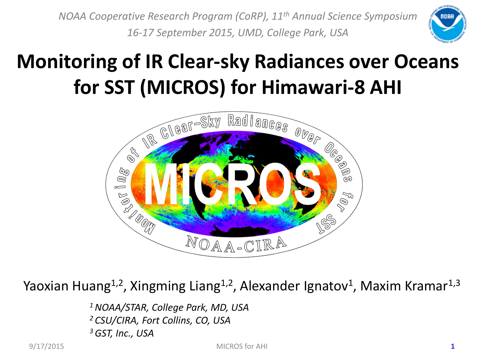*NOAA Cooperative Research Program (CoRP), 11th Annual Science Symposium 16-17 September 2015, UMD, College Park, USA*



### **Monitoring of IR Clear-sky Radiances over Oceans for SST (MICROS) for Himawari-8 AHI**



Yaoxian Huang<sup>1,2</sup>, Xingming Liang<sup>1,2</sup>, Alexander Ignatov<sup>1</sup>, Maxim Kramar<sup>1,3</sup>

*1 NOAA/STAR, College Park, MD, USA 2 CSU/CIRA, Fort Collins, CO, USA 3 GST, Inc., USA* 

9/17/2015 MICROS for AHI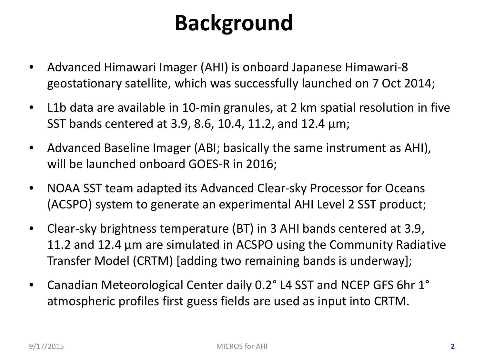## **Background**

- Advanced Himawari Imager (AHI) is onboard Japanese Himawari-8 geostationary satellite, which was successfully launched on 7 Oct 2014;
- L1b data are available in 10-min granules, at 2 km spatial resolution in five SST bands centered at 3.9, 8.6, 10.4, 11.2, and 12.4 µm;
- Advanced Baseline Imager (ABI; basically the same instrument as AHI), will be launched onboard GOES-R in 2016;
- NOAA SST team adapted its Advanced Clear-sky Processor for Oceans (ACSPO) system to generate an experimental AHI Level 2 SST product;
- Clear-sky brightness temperature (BT) in 3 AHI bands centered at 3.9, 11.2 and 12.4 µm are simulated in ACSPO using the Community Radiative Transfer Model (CRTM) [adding two remaining bands is underway];
- Canadian Meteorological Center daily 0.2° L4 SST and NCEP GFS 6hr 1° atmospheric profiles first guess fields are used as input into CRTM.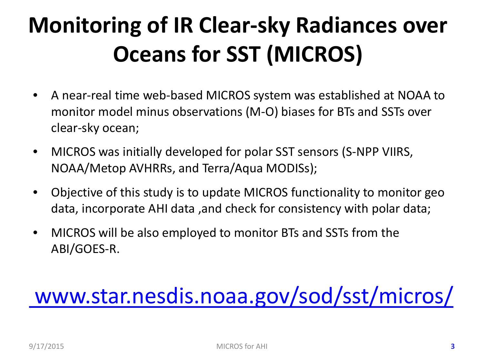# **Monitoring of IR Clear-sky Radiances over Oceans for SST (MICROS)**

- A near-real time web-based MICROS system was established at NOAA to monitor model minus observations (M-O) biases for BTs and SSTs over clear-sky ocean;
- MICROS was initially developed for polar SST sensors (S-NPP VIIRS, NOAA/Metop AVHRRs, and Terra/Aqua MODISs);
- Objective of this study is to update MICROS functionality to monitor geo data, incorporate AHI data ,and check for consistency with polar data;
- MICROS will be also employed to monitor BTs and SSTs from the ABI/GOES-R.

## [www.star.nesdis.noaa.gov/sod/sst/micros/](http://www.star.nesdis.noaa.gov/sod/sst/micros/)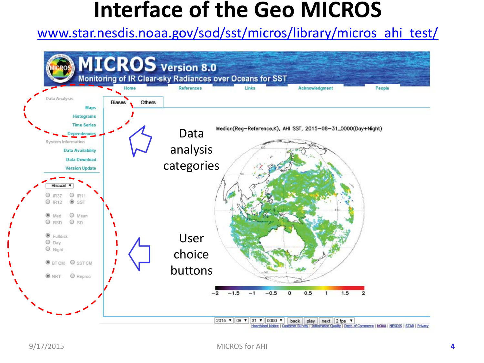### **Interface of the Geo MICROS**

#### [www.star.nesdis.noaa.gov/sod/sst/micros/library/micros\\_ahi\\_test/](http://www.star.nesdis.noaa.gov/sod/sst/micros/library/micros_ahi_test/)

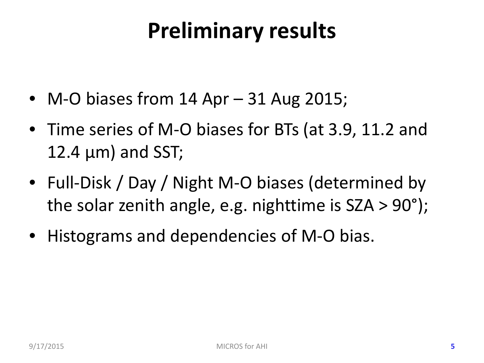### **Preliminary results**

- M-O biases from 14 Apr 31 Aug 2015;
- Time series of M-O biases for BTs (at 3.9, 11.2 and 12.4  $\mu$ m) and SST;
- Full-Disk / Day / Night M-O biases (determined by the solar zenith angle, e.g. nighttime is SZA > 90°);
- Histograms and dependencies of M-O bias.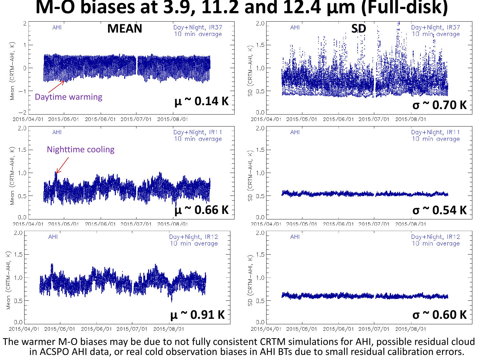#### **M-O biases at 3.9, 11.2 and 12.4 µm (Full-disk)**



The warmer M-O biases may be due to not fully consistent CRTM simulations for AHI, possible residual cloud in ACSPO AHI data, or real cold observation biases in AHI BTs due to small residual calibration errors.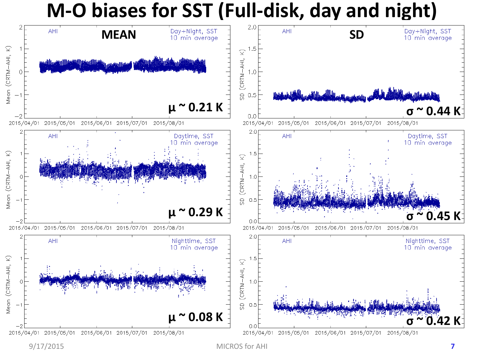#### **M-O biases for SST (Full-disk, day and night)**

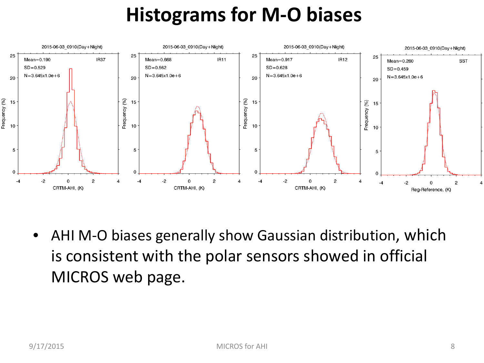### **Histograms for M-O biases**



AHI M-O biases generally show Gaussian distribution, which is consistent with the polar sensors showed in official MICROS web page.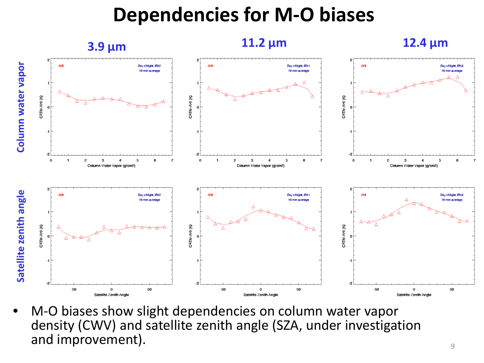#### **Dependencies for M-O biases**



 $\frac{9}{9}$ • M-O biases show slight dependencies on column water vapor density (CWV) and satellite zenith angle (SZA, under investigation and improvement).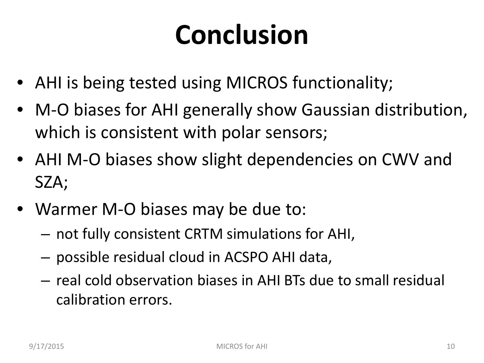# **Conclusion**

- AHI is being tested using MICROS functionality;
- M-O biases for AHI generally show Gaussian distribution, which is consistent with polar sensors;
- AHI M-O biases show slight dependencies on CWV and SZA;
- Warmer M-O biases may be due to:
	- not fully consistent CRTM simulations for AHI,
	- possible residual cloud in ACSPO AHI data,
	- real cold observation biases in AHI BTs due to small residual calibration errors.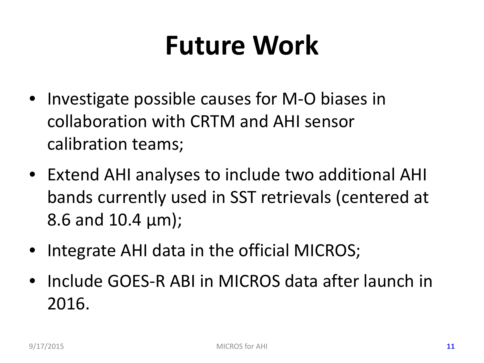# **Future Work**

- Investigate possible causes for M-O biases in collaboration with CRTM and AHI sensor calibration teams;
- Extend AHI analyses to include two additional AHI bands currently used in SST retrievals (centered at 8.6 and 10.4 µm);
- Integrate AHI data in the official MICROS;
- Include GOES-R ABI in MICROS data after launch in 2016.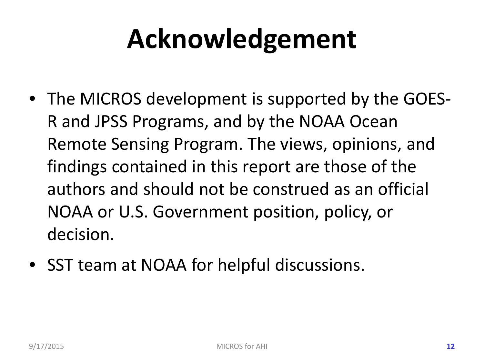# **Acknowledgement**

- The MICROS development is supported by the GOES-R and JPSS Programs, and by the NOAA Ocean Remote Sensing Program. The views, opinions, and findings contained in this report are those of the authors and should not be construed as an official NOAA or U.S. Government position, policy, or decision.
- SST team at NOAA for helpful discussions.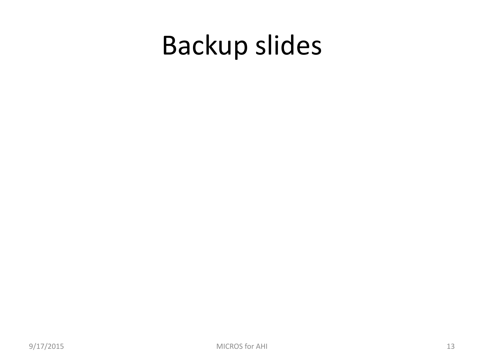# Backup slides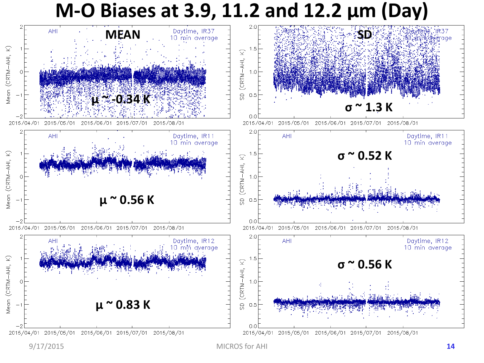#### **M-O Biases at 3.9, 11.2 and 12.2 µm (Day)**



9/17/2015 MICROS for AHI **14**